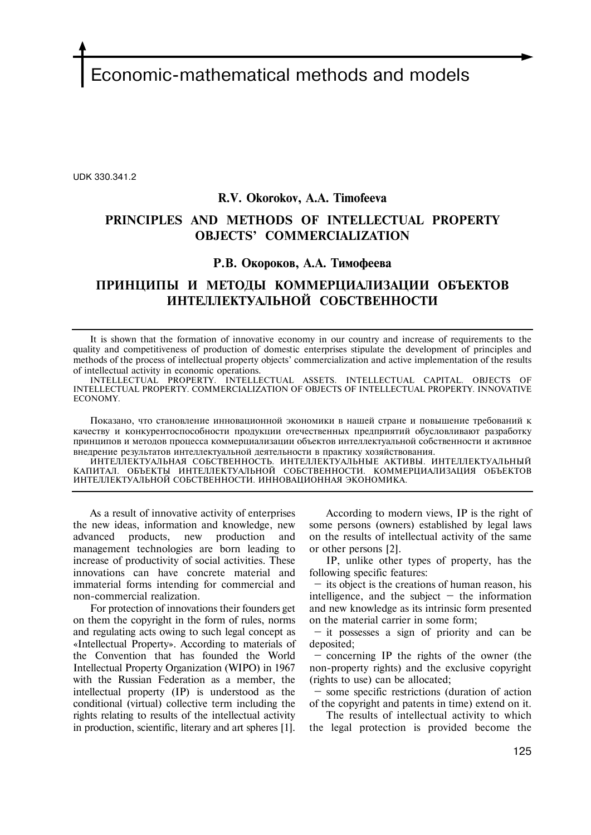Economic-mathematical methods and models

UDK 330.341.2

### **R.V. Okorokov, A.A. Timofeeva**

# **PRINCIPLES AND METHODS OF INTELLECTUAL PROPERTY OBJECTS' COMMERCIALIZATION**

### **Р.В. Окороков, А.А. Тимофеева**

# **ПРИНЦИПЫ И МЕТОДЫ КОММЕРЦИАЛИЗАЦИИ ОБЪЕКТОВ ИНТЕЛЛЕКТУАЛЬНОЙ СОБСТВЕННОСТИ**

It is shown that the formation of innovative economy in our country and increase of requirements to the quality and competitiveness of production of domestic enterprises stipulate the development of principles and methods of the process of intellectual property objects' commercialization and active implementation of the results of intellectual activity in economic operations.

INTELLECTUAL PROPERTY. INTELLECTUAL ASSETS. INTELLECTUAL CAPITAL. OBJECTS OF INTELLECTUAL PROPERTY. COMMERCIALIZATION OF OBJECTS OF INTELLECTUAL PROPERTY. INNOVATIVE ECONOMY.

Показано, что становление инновационной экономики в нашей стране и повышение требований к качеству и конкурентоспособности продукции отечественных предприятий обусловливают разработку принципов и методов процесса коммерциализации объектов интеллектуальной собственности и активное внедрение результатов интеллектуальной деятельности в практику хозяйствования.

ИНТЕЛЛЕКТУАЛЬНАЯ СОБСТВЕННОСТЬ. ИНТЕЛЛЕКТУАЛЬНЫЕ АКТИВЫ. ИНТЕЛЛЕКТУАЛЬНЫЙ КАПИТАЛ. ОБЪЕКТЫ ИНТЕЛЛЕКТУАЛЬНОЙ СОБСТВЕННОСТИ. КОММЕРЦИАЛИЗАЦИЯ ОБЪЕКТОВ ИНТЕЛЛЕКТУАЛЬНОЙ СОБСТВЕННОСТИ. ИННОВАЦИОННАЯ ЭКОНОМИКА.

As a result of innovative activity of enterprises the new ideas, information and knowledge, new advanced products, new production and management technologies are born leading to increase of productivity of social activities. These innovations can have concrete material and immaterial forms intending for commercial and non-commercial realization.

For protection of innovations their founders get on them the copyright in the form of rules, norms and regulating acts owing to such legal concept as «Intellectual Property». According to materials of the Convention that has founded the World Intellectual Property Organization (WIPO) in 1967 with the Russian Federation as a member, the intellectual property (IP) is understood as the conditional (virtual) collective term including the rights relating to results of the intellectual activity in production, scientific, literary and art spheres [1].

According to modern views, IP is the right of some persons (owners) established by legal laws on the results of intellectual activity of the same or other persons [2].

IP, unlike other types of property, has the following specific features:

its object is the creations of human reason, his intelligence, and the subject  $-$  the information and new knowledge as its intrinsic form presented on the material carrier in some form;

 — it possesses a sign of priority and can be deposited;

 — concerning IP the rights of the owner (the non-property rights) and the exclusive copyright (rights to use) can be allocated;

 — some specific restrictions (duration of action of the copyright and patents in time) extend on it.

The results of intellectual activity to which the legal protection is provided become the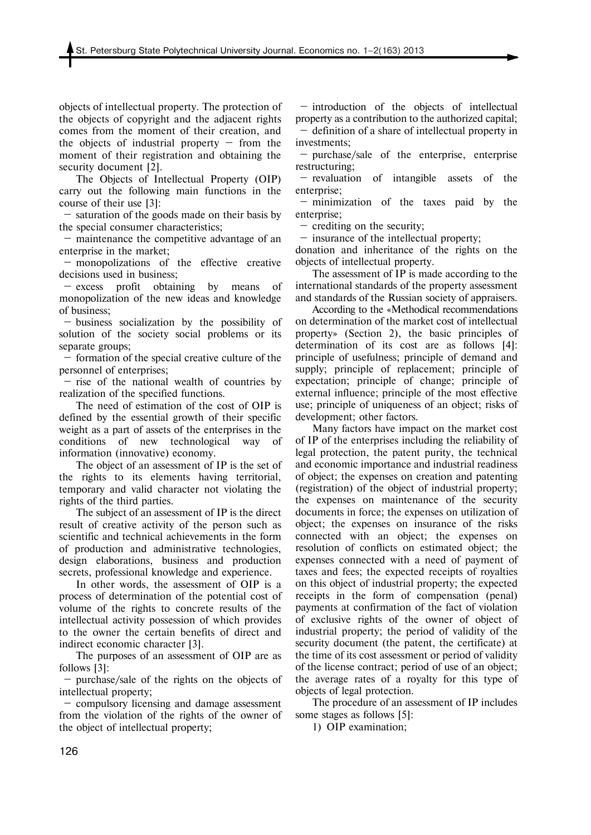objects of intellectual property. The protection of the objects of copyright and the adjacent rights comes from the moment of their creation, and the objects of industrial property  $-$  from the moment of their registration and obtaining the security document [2].

The Objects of Intellectual Property (OIP) carry out the following main functions in the course of their use [3]:

 — saturation of the goods made on their basis by the special consumer characteristics;

 — maintenance the competitive advantage of an enterprise in the market;

 — monopolizations of the effective creative decisions used in business;

 — excess profit obtaining by means of monopolization of the new ideas and knowledge of business;

 — business socialization by the possibility of solution of the society social problems or its separate groups;

 — formation of the special creative culture of the personnel of enterprises;

 — rise of the national wealth of countries by realization of the specified functions.

The need of estimation of the cost of OIP is defined by the essential growth of their specific weight as a part of assets of the enterprises in the conditions of new technological way of information (innovative) economy.

The object of an assessment of IP is the set of the rights to its elements having territorial, temporary and valid character not violating the rights of the third parties.

The subject of an assessment of IP is the direct result of creative activity of the person such as scientific and technical achievements in the form of production and administrative technologies, design elaborations, business and production secrets, professional knowledge and experience.

In other words, the assessment of OIP is a process of determination of the potential cost of volume of the rights to concrete results of the intellectual activity possession of which provides to the owner the certain benefits of direct and indirect economic character [3].

The purposes of an assessment of OIP are as follows [3]:

 — purchase/sale of the rights on the objects of intellectual property;

 — compulsory licensing and damage assessment from the violation of the rights of the owner of the object of intellectual property;

 — introduction of the objects of intellectual property as a contribution to the authorized capital; — definition of a share of intellectual property in investments;

 — purchase/sale of the enterprise, enterprise restructuring;

 — revaluation of intangible assets of the enterprise;

 — minimization of the taxes paid by the enterprise:

— crediting on the security;

— insurance of the intellectual property;

donation and inheritance of the rights on the objects of intellectual property.

The assessment of IP is made according to the international standards of the property assessment and standards of the Russian society of appraisers.

According to the «Methodical recommendations on determination of the market cost of intellectual property» (Section 2), the basic principles of determination of its cost are as follows [4]: principle of usefulness; principle of demand and supply; principle of replacement; principle of expectation; principle of change; principle of external influence; principle of the most effective use; principle of uniqueness of an object; risks of development; other factors.

Many factors have impact on the market cost of IP of the enterprises including the reliability of legal protection, the patent purity, the technical and economic importance and industrial readiness of object; the expenses on creation and patenting (registration) of the object of industrial property; the expenses on maintenance of the security documents in force; the expenses on utilization of object; the expenses on insurance of the risks connected with an object; the expenses on resolution of conflicts on estimated object; the expenses connected with a need of payment of taxes and fees; the expected receipts of royalties on this object of industrial property; the expected receipts in the form of compensation (penal) payments at confirmation of the fact of violation of exclusive rights of the owner of object of industrial property; the period of validity of the security document (the patent, the certificate) at the time of its cost assessment or period of validity of the license contract; period of use of an object; the average rates of a royalty for this type of objects of legal protection.

The procedure of an assessment of IP includes some stages as follows [5]:

1) OIP examination;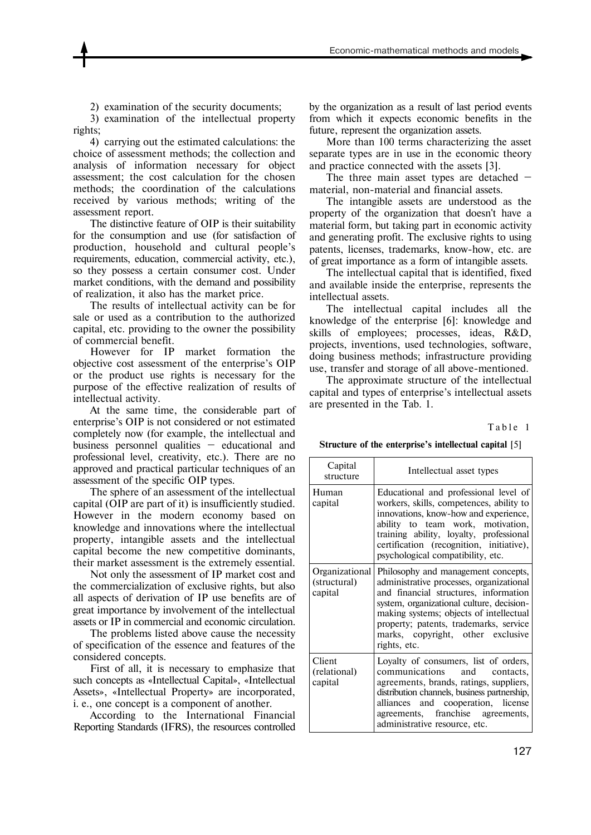2) examination of the security documents;

3) examination of the intellectual property rights;

4) carrying out the estimated calculations: the choice of assessment methods; the collection and analysis of information necessary for object assessment; the cost calculation for the chosen methods; the coordination of the calculations received by various methods; writing of the assessment report.

The distinctive feature of OIP is their suitability for the consumption and use (for satisfaction of production, household and cultural people's requirements, education, commercial activity, etc.), so they possess a certain consumer cost. Under market conditions, with the demand and possibility of realization, it also has the market price.

The results of intellectual activity can be for sale or used as a contribution to the authorized capital, etc. providing to the owner the possibility of commercial benefit.

However for IP market formation the objective cost assessment of the enterprise's OIP or the product use rights is necessary for the purpose of the effective realization of results of intellectual activity.

At the same time, the considerable part of enterprise's OIP is not considered or not estimated completely now (for example, the intellectual and business personnel qualities — educational and professional level, creativity, etc.). There are no approved and practical particular techniques of an assessment of the specific OIP types.

The sphere of an assessment of the intellectual capital (OIP are part of it) is insufficiently studied. However in the modern economy based on knowledge and innovations where the intellectual property, intangible assets and the intellectual capital become the new competitive dominants, their market assessment is the extremely essential.

Not only the assessment of IP market cost and the commercialization of exclusive rights, but also all aspects of derivation of IP use benefits are of great importance by involvement of the intellectual assets or IP in commercial and economic circulation.

The problems listed above cause the necessity of specification of the essence and features of the considered concepts.

First of all, it is necessary to emphasize that such concepts as «Intellectual Capital», «Intellectual Assets», «Intellectual Property» are incorporated, i. e., one concept is a component of another.

According to the International Financial Reporting Standards (IFRS), the resources controlled by the organization as a result of last period events from which it expects economic benefits in the future, represent the organization assets.

More than 100 terms characterizing the asset separate types are in use in the economic theory and practice connected with the assets [3].

The three main asset types are detached  $$ material, non-material and financial assets.

The intangible assets are understood as the property of the organization that doesn't have a material form, but taking part in economic activity and generating profit. The exclusive rights to using patents, licenses, trademarks, know-how, etc. are of great importance as a form of intangible assets.

The intellectual capital that is identified, fixed and available inside the enterprise, represents the intellectual assets.

The intellectual capital includes all the knowledge of the enterprise [6]: knowledge and skills of employees; processes, ideas, R&D, projects, inventions, used technologies, software, doing business methods; infrastructure providing use, transfer and storage of all above-mentioned.

The approximate structure of the intellectual capital and types of enterprise's intellectual assets are presented in the Tab. 1.

Table 1

**Structure of the enterprise's intellectual capital** [5]

| Capital<br>structure                      | Intellectual asset types                                                                                                                                                                                                                                                                                        |  |
|-------------------------------------------|-----------------------------------------------------------------------------------------------------------------------------------------------------------------------------------------------------------------------------------------------------------------------------------------------------------------|--|
| Human<br>capital                          | Educational and professional level of<br>workers, skills, competences, ability to<br>innovations, know-how and experience,<br>ability to team work, motivation,<br>training ability, loyalty, professional<br>certification (recognition, initiative),<br>psychological compatibility, etc.                     |  |
| Organizational<br>(structural)<br>capital | Philosophy and management concepts,<br>administrative processes, organizational<br>and financial structures, information<br>system, organizational culture, decision-<br>making systems; objects of intellectual<br>property; patents, trademarks, service<br>marks, copyright, other exclusive<br>rights, etc. |  |
| Client<br>(relational)<br>capital         | Loyalty of consumers, list of orders,<br>communications<br>and<br>contacts,<br>agreements, brands, ratings, suppliers,<br>distribution channels, business partnership,<br>alliances and cooperation, license<br>agreements, franchise agreements,<br>administrative resource, etc.                              |  |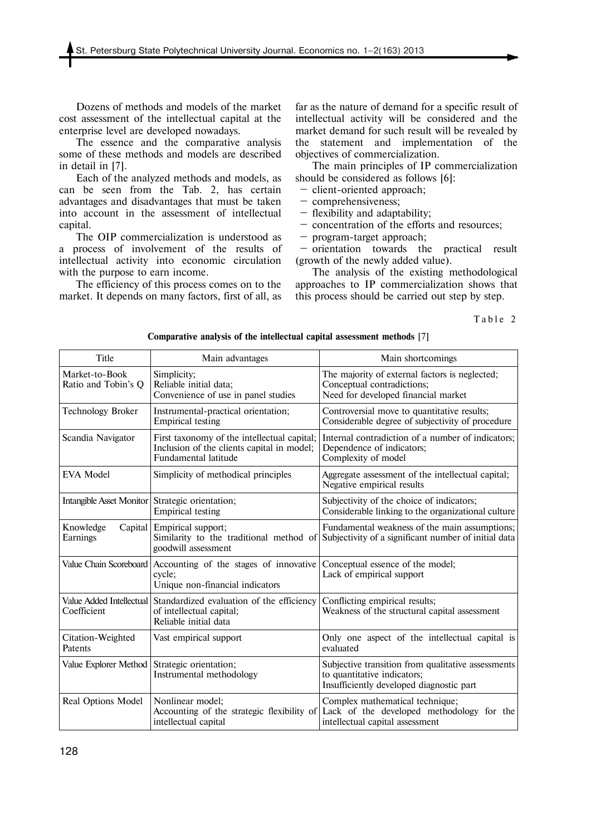Dozens of methods and models of the market cost assessment of the intellectual capital at the enterprise level are developed nowadays.

The essence and the comparative analysis some of these methods and models are described in detail in [7].

Each of the analyzed methods and models, as can be seen from the Tab. 2, has certain advantages and disadvantages that must be taken into account in the assessment of intellectual capital.

The OIP commercialization is understood as a process of involvement of the results of intellectual activity into economic circulation with the purpose to earn income.

The efficiency of this process comes on to the market. It depends on many factors, first of all, as

far as the nature of demand for a specific result of intellectual activity will be considered and the market demand for such result will be revealed by the statement and implementation of the objectives of commercialization.

The main principles of IP commercialization should be considered as follows [6]:

- client-oriented approach;
- comprehensiveness;
- flexibility and adaptability;
- concentration of the efforts and resources;
- program-target approach;

 — orientation towards the practical result (growth of the newly added value).

The analysis of the existing methodological approaches to IP commercialization shows that this process should be carried out step by step.

Table 2

| Title                                           | Main advantages                                                                                                         | Main shortcomings                                                                                                                             |
|-------------------------------------------------|-------------------------------------------------------------------------------------------------------------------------|-----------------------------------------------------------------------------------------------------------------------------------------------|
| Market-to-Book<br>Ratio and Tobin's Q           | Simplicity;<br>Reliable initial data;<br>Convenience of use in panel studies                                            | The majority of external factors is neglected;<br>Conceptual contradictions;<br>Need for developed financial market                           |
| <b>Technology Broker</b>                        | Instrumental-practical orientation;<br><b>Empirical testing</b>                                                         | Controversial move to quantitative results;<br>Considerable degree of subjectivity of procedure                                               |
| Scandia Navigator                               | First taxonomy of the intellectual capital;<br>Inclusion of the clients capital in model;<br>Fundamental latitude       | Internal contradiction of a number of indicators;<br>Dependence of indicators;<br>Complexity of model                                         |
| <b>EVA Model</b>                                | Simplicity of methodical principles                                                                                     | Aggregate assessment of the intellectual capital;<br>Negative empirical results                                                               |
| Intangible Asset Monitor Strategic orientation; | <b>Empirical testing</b>                                                                                                | Subjectivity of the choice of indicators;<br>Considerable linking to the organizational culture                                               |
| Capital<br>Knowledge<br>Earnings                | Empirical support;<br>goodwill assessment                                                                               | Fundamental weakness of the main assumptions;<br>Similarity to the traditional method of Subjectivity of a significant number of initial data |
|                                                 | Value Chain Scoreboard Accounting of the stages of innovative<br>cycle;<br>Unique non-financial indicators              | Conceptual essence of the model;<br>Lack of empirical support                                                                                 |
| Coefficient                                     | Value Added Intellectual Standardized evaluation of the efficiency<br>of intellectual capital;<br>Reliable initial data | Conflicting empirical results;<br>Weakness of the structural capital assessment                                                               |
| Citation-Weighted<br>Patents                    | Vast empirical support                                                                                                  | Only one aspect of the intellectual capital is<br>evaluated                                                                                   |
| Value Explorer Method   Strategic orientation;  | Instrumental methodology                                                                                                | Subjective transition from qualitative assessments<br>to quantitative indicators;<br>Insufficiently developed diagnostic part                 |
| Real Options Model                              | Nonlinear model:<br>Accounting of the strategic flexibility of<br>intellectual capital                                  | Complex mathematical technique;<br>Lack of the developed methodology for the<br>intellectual capital assessment                               |

**Comparative analysis of the intellectual capital assessment methods** [7]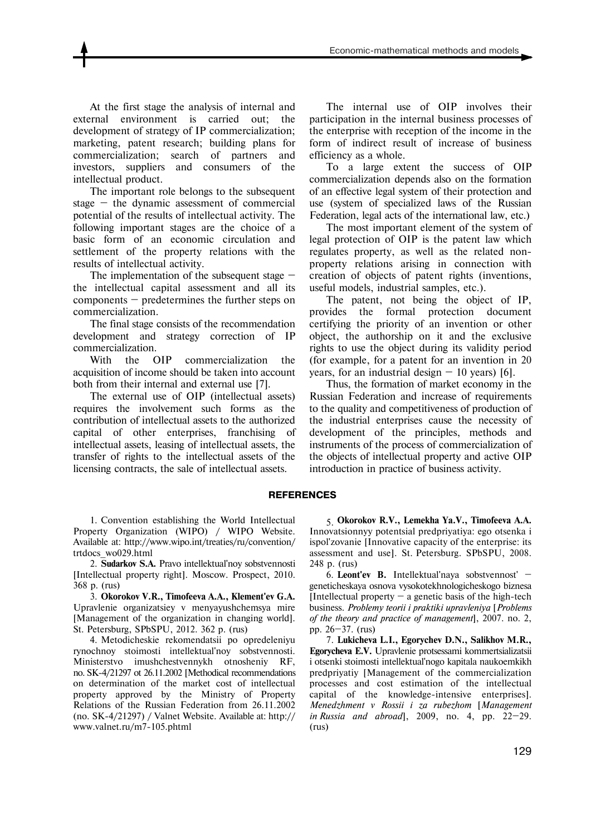At the first stage the analysis of internal and external environment is carried out; the development of strategy of IP commercialization; marketing, patent research; building plans for commercialization; search of partners and investors, suppliers and consumers of the intellectual product.

The important role belongs to the subsequent stage — the dynamic assessment of commercial potential of the results of intellectual activity. The following important stages are the choice of a basic form of an economic circulation and settlement of the property relations with the results of intellectual activity.

The implementation of the subsequent stage the intellectual capital assessment and all its components — predetermines the further steps on commercialization.

The final stage consists of the recommendation development and strategy correction of IP commercialization.

With the OIP commercialization the acquisition of income should be taken into account both from their internal and external use [7].

The external use of OIP (intellectual assets) requires the involvement such forms as the contribution of intellectual assets to the authorized capital of other enterprises, franchising of intellectual assets, leasing of intellectual assets, the transfer of rights to the intellectual assets of the licensing contracts, the sale of intellectual assets.

The internal use of OIP involves their participation in the internal business processes of the enterprise with reception of the income in the form of indirect result of increase of business efficiency as a whole.

To a large extent the success of OIP commercialization depends also on the formation of an effective legal system of their protection and use (system of specialized laws of the Russian Federation, legal acts of the international law, etc.)

The most important element of the system of legal protection of OIP is the patent law which regulates property, as well as the related nonproperty relations arising in connection with creation of objects of patent rights (inventions, useful models, industrial samples, etc.).

The patent, not being the object of IP, provides the formal protection document certifying the priority of an invention or other object, the authorship on it and the exclusive rights to use the object during its validity period (for example, for a patent for an invention in 20 years, for an industrial design  $-10$  years) [6].

Thus, the formation of market economy in the Russian Federation and increase of requirements to the quality and competitiveness of production of the industrial enterprises cause the necessity of development of the principles, methods and instruments of the process of commercialization of the objects of intellectual property and active OIP introduction in practice of business activity.

#### **REFERENCES**

1. Convention establishing the World Intellectual Property Organization (WIPO) / WIPO Website. Available at: http://www.wipo.int/treaties/ru/convention/ trtdocs\_wo029.html

2. **Sudarkov S.A***.* Pravo intellektual'noy sobstvennosti [Intellectual property right]. Moscow. Prospect, 2010. 368 p. (rus)

3. **Okorokov V.R., Timofeeva A.A., Klement'ev G.A.**  Upravlenie organizatsiey v menyayushchemsya mire [Management of the organization in changing world]. St. Petersburg, SPbSPU, 2012. 362 p. (rus)

4. Metodicheskie rekomendatsii po opredeleniyu rynochnoy stoimosti intellektual'noy sobstvennosti. Ministerstvo imushchestvennykh otnosheniy RF, no. SK-4/21297 ot 26.11.2002 [Methodical recommendations on determination of the market cost of intellectual property approved by the Ministry of Property Relations of the Russian Federation from 26.11.2002 (no. SK-4/21297) / Valnet Website. Available at: http:// www.valnet.ru/m7-105.phtml

5. **Okorokov R.V., Lemekha Ya.V., Timofeeva A.A.** Innovatsionnyy potentsial predpriyatiya: ego otsenka i ispol'zovanie [Innovative capacity of the enterprise: its assessment and use]. St. Petersburg. SPbSPU, 2008. 248 p. (rus)

6. **Leont'ev B.** Intellektual'naya sobstvennost' geneticheskaya osnova vysokotekhnologicheskogo biznesa [Intellectual property  $-$  a genetic basis of the high-tech business. *Problemy teorii i praktiki upravleniya* [*Problems of the theory and practice of management*], 2007. no. 2, pp. 26—37. (rus)

7. **Lukicheva L.I., Egorychev D.N., Salikhov M.R., Egorycheva E.V.** Upravlenie protsessami kommertsializatsii i otsenki stoimosti intellektual'nogo kapitala naukoemkikh predpriyatiy [Management of the commercialization processes and cost estimation of the intellectual capital of the knowledge-intensive enterprises]. *Menedzhment v Rossii i za rubezhom* [*Management in Russia and abroad*], 2009, no. 4, pp. 22—29. (rus)